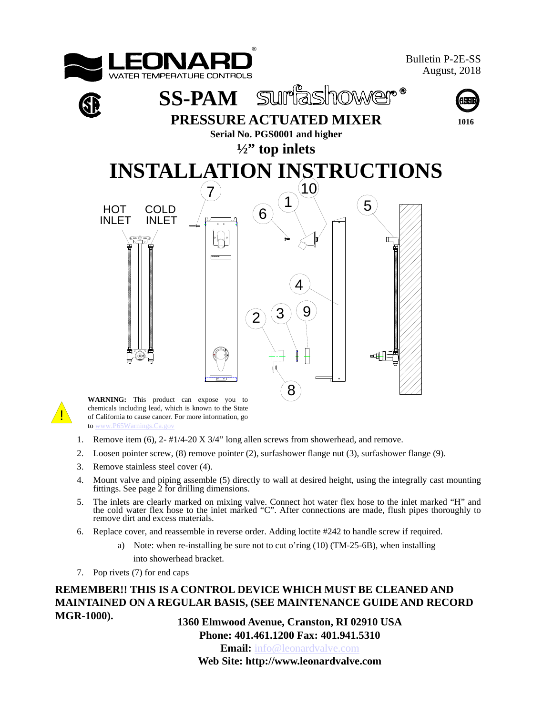



**WARNING:** This product can expose you to chemicals including lead, which is known to the State of California to cause cancer. For more information, go to www.P65Warnings.Ca.g

- 1. Remove item (6), 2- #1/4-20 X 3/4" long allen screws from showerhead, and remove.
- 2. Loosen pointer screw, (8) remove pointer (2), surfashower flange nut (3), surfashower flange (9).
- 3. Remove stainless steel cover (4).
- 4. Mount valve and piping assemble (5) directly to wall at desired height, using the integrally cast mounting fittings. See page 2 for drilling dimensions.
- 5. The inlets are clearly marked on mixing valve. Connect hot water flex hose to the inlet marked "H" and the cold water flex hose to the inlet marked "C". After connections are made, flush pipes thoroughly to remove dirt and excess materials.
- 6. Replace cover, and reassemble in reverse order. Adding loctite #242 to handle screw if required.
	- a) Note: when re-installing be sure not to cut o'ring (10) (TM-25-6B), when installing
		- into showerhead bracket.
- 7. Pop rivets (7) for end caps

**REMEMBER!! THIS IS A CONTROL DEVICE WHICH MUST BE CLEANED AND MAINTAINED ON A REGULAR BASIS, (SEE MAINTENANCE GUIDE AND RECORD MGR-1000). 1360 Elmwood Avenue, Cranston, RI 02910 USA**

**Phone: 401.461.1200 Fax: 401.941.5310 Email:** info@leonardvalve.com

**Web Site: http://www.leonardvalve.com**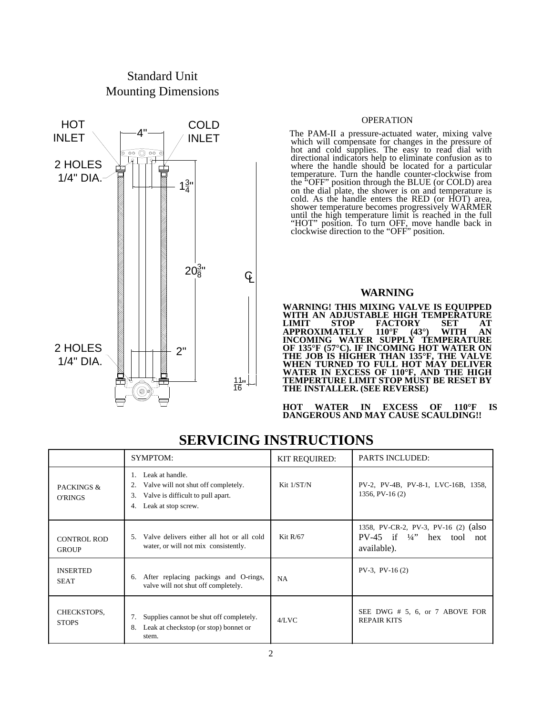### Standard Unit Mounting Dimensions



#### OPERATION

The PAM-II a pressure-actuated water, mixing valve which will compensate for changes in the pressure of hot and cold supplies. The easy to read dial with directional indicators help to eliminate confusion as to where the handle should be located for a particular temperature. Turn the handle counter-clockwise from the "OFF" position through the BLUE (or COLD) area on the dial plate, the shower is on and temperature is cold. As the handle enters the RED (or HOT) area, shower temperature becomes progressively WARMER until the high temperature limit is reached in the full "HOT" position. To turn OFF, move handle back in clockwise direction to the "OFF" position.

#### **WARNING**

**WARNING! THIS MIXING VALVE IS EQUIPPED WITH AN ADJUSTABLE HIGH TEMPERATURE LIMIT STOP FACTORY SET AT APPROXIMATELY 110°F (43°) WITH AN INCOMING WATER SUPPLY TEMPERATURE OF 135°F (57°C). IF INCOMING HOT WATER ON THE JOB IS HIGHER THAN 135°F, THE VALVE WHEN TURNED TO FULL HOT MAY DELIVER WATER IN EXCESS OF 110°F, AND THE HIGH TEMPERTURE LIMIT STOP MUST BE RESET BY THE INSTALLER. (SEE REVERSE)**

**HOT WATER IN EXCESS OF 110°F IS DANGEROUS AND MAY CAUSE SCAULDING!!**

|                                         | SYMPTOM:                                                                                                                             | <b>KIT REQUIRED:</b> | PARTS INCLUDED:                                                                                       |
|-----------------------------------------|--------------------------------------------------------------------------------------------------------------------------------------|----------------------|-------------------------------------------------------------------------------------------------------|
| <b>PACKINGS &amp;</b><br><b>O'RINGS</b> | Leak at handle.<br>Valve will not shut off completely.<br>2.<br>Valve is difficult to pull apart.<br>3.<br>Leak at stop screw.<br>4. | Kit 1/ST/N           | PV-2, PV-4B, PV-8-1, LVC-16B, 1358,<br>1356, PV-16 (2)                                                |
| <b>CONTROL ROD</b><br><b>GROUP</b>      | Valve delivers either all hot or all cold<br>.5<br>water, or will not mix consistently.                                              | Kit $R/67$           | 1358, PV-CR-2, PV-3, PV-16 (2) (also<br>$\frac{1}{4}$<br>$PV-45$ if<br>hex tool<br>not<br>available). |
| <b>INSERTED</b><br><b>SEAT</b>          | After replacing packings and O-rings,<br>6.<br>valve will not shut off completely.                                                   | NA.                  | $PV-3$ , $PV-16(2)$                                                                                   |
| CHECKSTOPS,<br><b>STOPS</b>             | Supplies cannot be shut off completely.<br>7.<br>Leak at checkstop (or stop) bonnet or<br>8.<br>stem.                                | 4/LVC                | SEE DWG # 5, 6, or 7 ABOVE FOR<br><b>REPAIR KITS</b>                                                  |

### **SERVICING INSTRUCTIONS**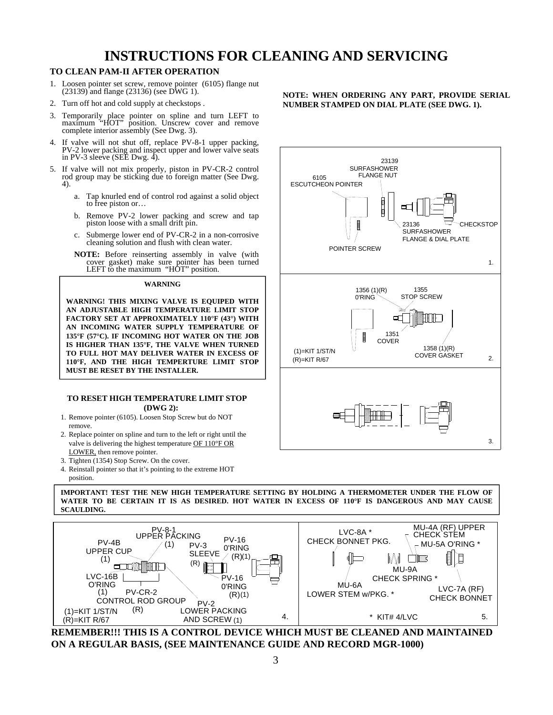## **INSTRUCTIONS FOR CLEANING AND SERVICING**

#### **TO CLEAN PAM-II AFTER OPERATION**

- 1. Loosen pointer set screw, remove pointer (6105) flange nut (23139) and flange (23136) (see DWG 1).
- 2. Turn off hot and cold supply at checkstops .
- 3. Temporarily place pointer on spline and turn LEFT to maximum "HOT" position. Unscrew cover and remove complete interior assembly (See Dwg. 3).
- If valve will not shut off, replace PV-8-1 upper packing, PV-2 lower packing and inspect upper and lower valve seats in PV-3 sleeve (SEE Dwg. 4).
- 5. If valve will not mix properly, piston in PV-CR-2 control rod group may be sticking due to foreign matter (See Dwg. 4).
	- a. Tap knurled end of control rod against a solid object to free piston or…
	- b. Remove PV-2 lower packing and screw and tap piston loose with a small drift pin.
	- c. Submerge lower end of PV-CR-2 in a non-corrosive cleaning solution and flush with clean water.
	- **NOTE:** Before reinserting assembly in valve (with cover gasket) make sure pointer has been turned LEFT to the maximum "HOT" position.

#### **WARNING**

**WARNING! THIS MIXING VALVE IS EQUIPED WITH AN ADJUSTABLE HIGH TEMPERATURE LIMIT STOP FACTORY SET AT APPROXIMATELY 110°F (43°) WITH AN INCOMING WATER SUPPLY TEMPERATURE OF 135°F (57°C). IF INCOMING HOT WATER ON THE JOB IS HIGHER THAN 135°F, THE VALVE WHEN TURNED TO FULL HOT MAY DELIVER WATER IN EXCESS OF 110°F, AND THE HIGH TEMPERTURE LIMIT STOP MUST BE RESET BY THE INSTALLER.**

#### **TO RESET HIGH TEMPERATURE LIMIT STOP (DWG 2):**

- 1. Remove pointer (6105). Loosen Stop Screw but do NOT remove.
- 2. Replace pointer on spline and turn to the left or right until the valve is delivering the highest temperature OF 110°F OR LOWER, then remove pointer.
- 3. Tighten (1354) Stop Screw. On the cover.
- 4. Reinstall pointer so that it's pointing to the extreme HOT position.

#### **NOTE: WHEN ORDERING ANY PART, PROVIDE SERIAL NUMBER STAMPED ON DIAL PLATE (SEE DWG. 1).**



#### **IMPORTANT! TEST THE NEW HIGH TEMPERATURE SETTING BY HOLDING A THERMOMETER UNDER THE FLOW OF WATER TO BE CERTAIN IT IS AS DESIRED. HOT WATER IN EXCESS OF 110°F IS DANGEROUS AND MAY CAUSE SCAULDING.**



**REMEMBER!!! THIS IS A CONTROL DEVICE WHICH MUST BE CLEANED AND MAINTAINED ON A REGULAR BASIS, (SEE MAINTENANCE GUIDE AND RECORD MGR-1000)**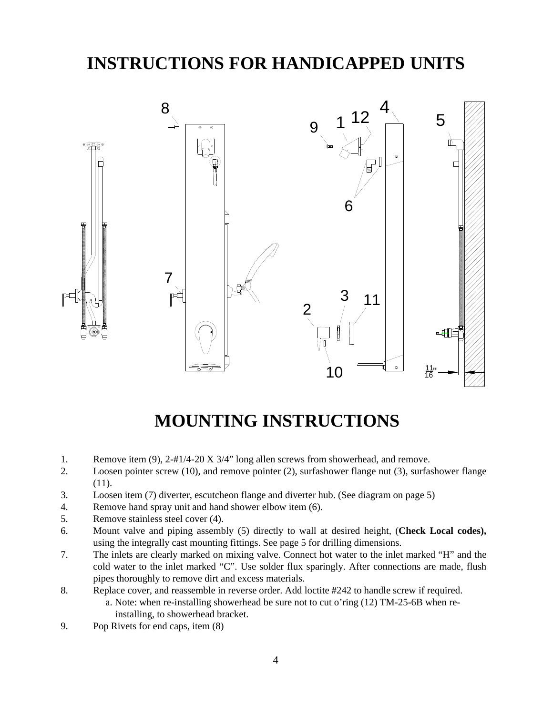# **INSTRUCTIONS FOR HANDICAPPED UNITS**



# **MOUNTING INSTRUCTIONS**

- 1. Remove item (9), 2-#1/4-20 X 3/4" long allen screws from showerhead, and remove.
- 2. Loosen pointer screw (10), and remove pointer (2), surfashower flange nut (3), surfashower flange (11).
- 3. Loosen item (7) diverter, escutcheon flange and diverter hub. (See diagram on page 5)
- 4. Remove hand spray unit and hand shower elbow item (6).
- 5. Remove stainless steel cover (4).
- 6. Mount valve and piping assembly (5) directly to wall at desired height, (**Check Local codes),** using the integrally cast mounting fittings. See page 5 for drilling dimensions.
- 7. The inlets are clearly marked on mixing valve. Connect hot water to the inlet marked "H" and the cold water to the inlet marked "C". Use solder flux sparingly. After connections are made, flush pipes thoroughly to remove dirt and excess materials.
- 8. Replace cover, and reassemble in reverse order. Add loctite #242 to handle screw if required.
	- a. Note: when re-installing showerhead be sure not to cut o'ring (12) TM-25-6B when reinstalling, to showerhead bracket.
- 9. Pop Rivets for end caps, item (8)